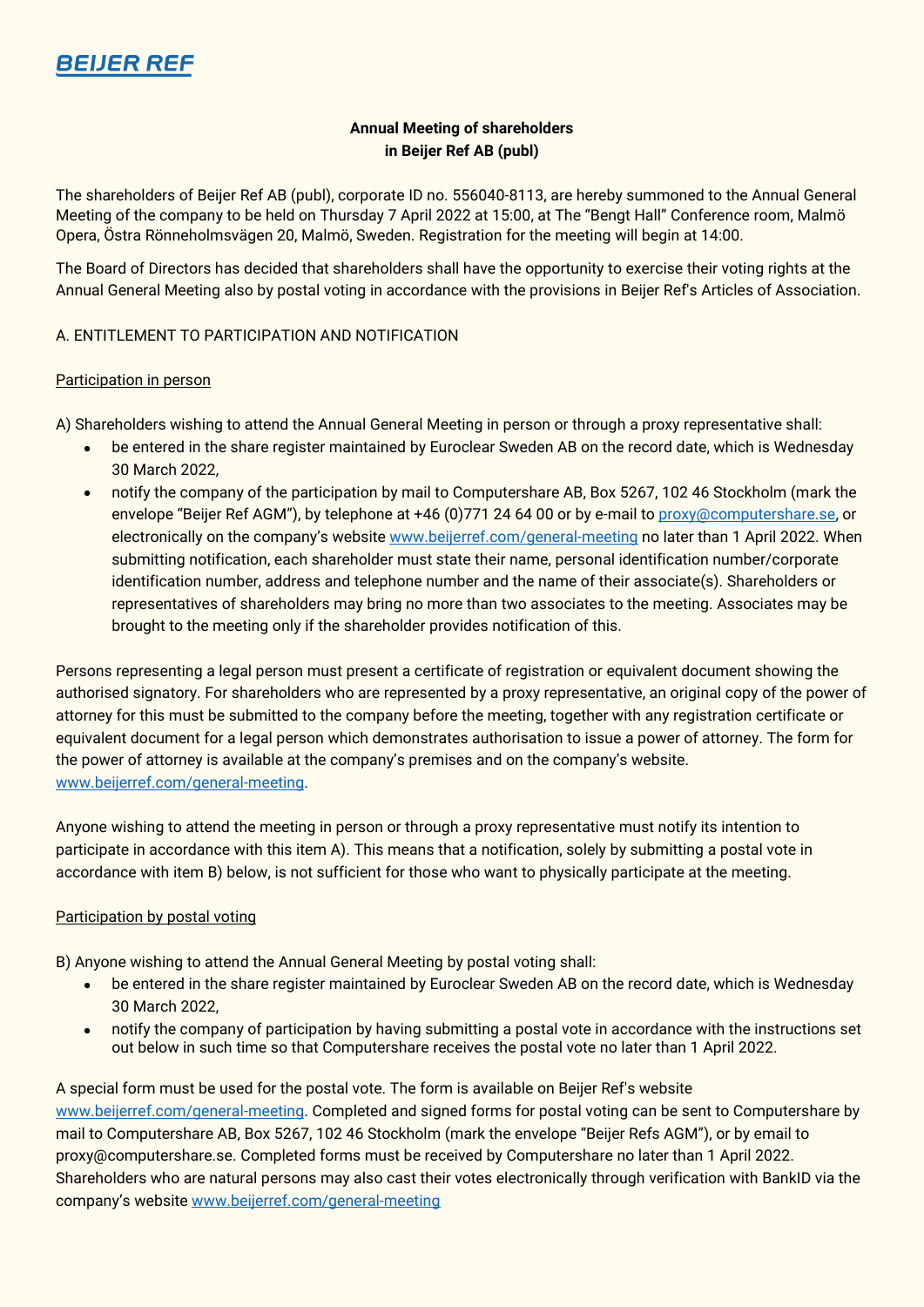

# **Annual Meeting of shareholders in Beijer Ref AB (publ)**

The shareholders of Beijer Ref AB (publ), corporate ID no. 556040-8113, are hereby summoned to the Annual General Meeting of the company to be held on Thursday 7 April 2022 at 15:00, at The "Bengt Hall" Conference room, Malmö Opera, Östra Rönneholmsvägen 20, Malmö, Sweden. Registration for the meeting will begin at 14:00.

The Board of Directors has decided that shareholders shall have the opportunity to exercise their voting rights at the Annual General Meeting also by postal voting in accordance with the provisions in Beijer Ref's Articles of Association.

## A. ENTITLEMENT TO PARTICIPATION AND NOTIFICATION

#### Participation in person

A) Shareholders wishing to attend the Annual General Meeting in person or through a proxy representative shall:

- be entered in the share register maintained by Euroclear Sweden AB on the record date, which is Wednesday 30 March 2022,
- notify the company of the participation by mail to Computershare AB, Box 5267, 102 46 Stockholm (mark the envelope "Beijer Ref AGM"), by telephone at +46 (0)771 24 64 00 or by e-mail t[o proxy@computershare.se,](mailto:proxy@computershare.se) or electronically on the company's website [www.beijerref.com/general-meeting](http://www.beijerref.com/general-meeting) no later than 1 April 2022. When submitting notification, each shareholder must state their name, personal identification number/corporate identification number, address and telephone number and the name of their associate(s). Shareholders or representatives of shareholders may bring no more than two associates to the meeting. Associates may be brought to the meeting only if the shareholder provides notification of this.

Persons representing a legal person must present a certificate of registration or equivalent document showing the authorised signatory. For shareholders who are represented by a proxy representative, an original copy of the power of attorney for this must be submitted to the company before the meeting, together with any registration certificate or equivalent document for a legal person which demonstrates authorisation to issue a power of attorney. The form for the power of attorney is available at the company's premises and on the company's website. [www.beijerref.com/general-meeting.](http://www.beijerref.com/general-meeting)

Anyone wishing to attend the meeting in person or through a proxy representative must notify its intention to participate in accordance with this item A). This means that a notification, solely by submitting a postal vote in accordance with item B) below, is not sufficient for those who want to physically participate at the meeting.

## Participation by postal voting

B) Anyone wishing to attend the Annual General Meeting by postal voting shall:

- be entered in the share register maintained by Euroclear Sweden AB on the record date, which is Wednesday 30 March 2022,
- notify the company of participation by having submitting a postal vote in accordance with the instructions set out below in such time so that Computershare receives the postal vote no later than 1 April 2022.

A special form must be used for the postal vote. The form is available on Beijer Ref's website [www.beijerref.com/general-meeting.](http://www.beijerref.com/general-meeting) Completed and signed forms for postal voting can be sent to Computershare by mail to Computershare AB, Box 5267, 102 46 Stockholm (mark the envelope "Beijer Refs AGM"), or by email to proxy@computershare.se. Completed forms must be received by Computershare no later than 1 April 2022. Shareholders who are natural persons may also cast their votes electronically through verification with BankID via the company's websit[e www.beijerref.com/general-meeting](http://www.beijerref.com/general-meeting)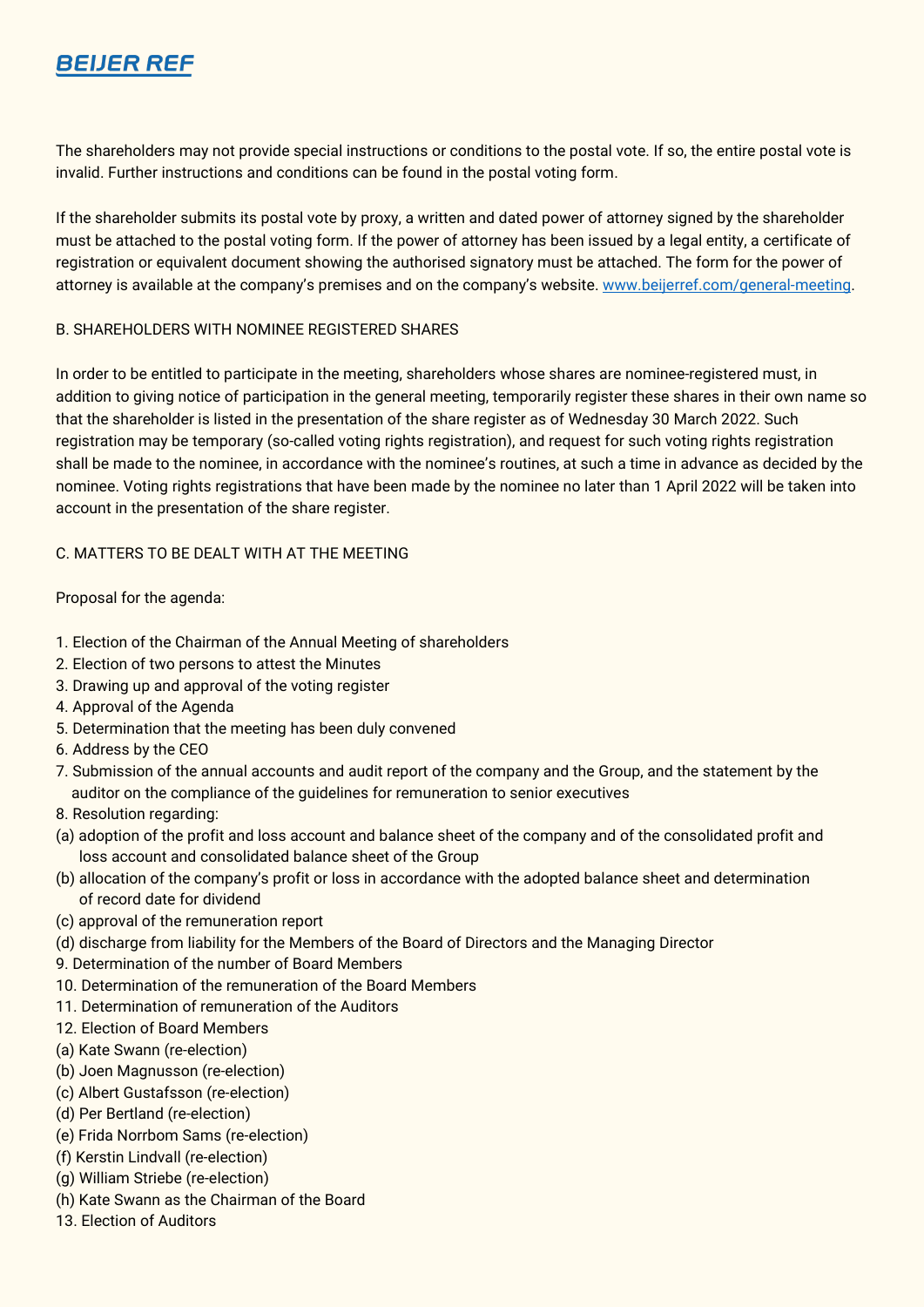

The shareholders may not provide special instructions or conditions to the postal vote. If so, the entire postal vote is invalid. Further instructions and conditions can be found in the postal voting form.

If the shareholder submits its postal vote by proxy, a written and dated power of attorney signed by the shareholder must be attached to the postal voting form. If the power of attorney has been issued by a legal entity, a certificate of registration or equivalent document showing the authorised signatory must be attached. The form for the power of attorney is available at the company's premises and on the company's website. [www.beijerref.com/general-meeting.](http://www.beijerref.com/general-meeting)

#### B. SHAREHOLDERS WITH NOMINEE REGISTERED SHARES

In order to be entitled to participate in the meeting, shareholders whose shares are nominee-registered must, in addition to giving notice of participation in the general meeting, temporarily register these shares in their own name so that the shareholder is listed in the presentation of the share register as of Wednesday 30 March 2022. Such registration may be temporary (so-called voting rights registration), and request for such voting rights registration shall be made to the nominee, in accordance with the nominee's routines, at such a time in advance as decided by the nominee. Voting rights registrations that have been made by the nominee no later than 1 April 2022 will be taken into account in the presentation of the share register.

## C. MATTERS TO BE DEALT WITH AT THE MEETING

Proposal for the agenda:

- 1. Election of the Chairman of the Annual Meeting of shareholders
- 2. Election of two persons to attest the Minutes
- 3. Drawing up and approval of the voting register
- 4. Approval of the Agenda
- 5. Determination that the meeting has been duly convened
- 6. Address by the CEO
- 7. Submission of the annual accounts and audit report of the company and the Group, and the statement by the auditor on the compliance of the guidelines for remuneration to senior executives
- 8. Resolution regarding:
- (a) adoption of the profit and loss account and balance sheet of the company and of the consolidated profit and loss account and consolidated balance sheet of the Group
- (b) allocation of the company's profit or loss in accordance with the adopted balance sheet and determination of record date for dividend
- (c) approval of the remuneration report
- (d) discharge from liability for the Members of the Board of Directors and the Managing Director
- 9. Determination of the number of Board Members
- 10. Determination of the remuneration of the Board Members
- 11. Determination of remuneration of the Auditors
- 12. Election of Board Members
- (a) Kate Swann (re-election)
- (b) Joen Magnusson (re-election)
- (c) Albert Gustafsson (re-election)
- (d) Per Bertland (re-election)
- (e) Frida Norrbom Sams (re-election)
- (f) Kerstin Lindvall (re-election)
- (g) William Striebe (re-election)
- (h) Kate Swann as the Chairman of the Board
- 13. Election of Auditors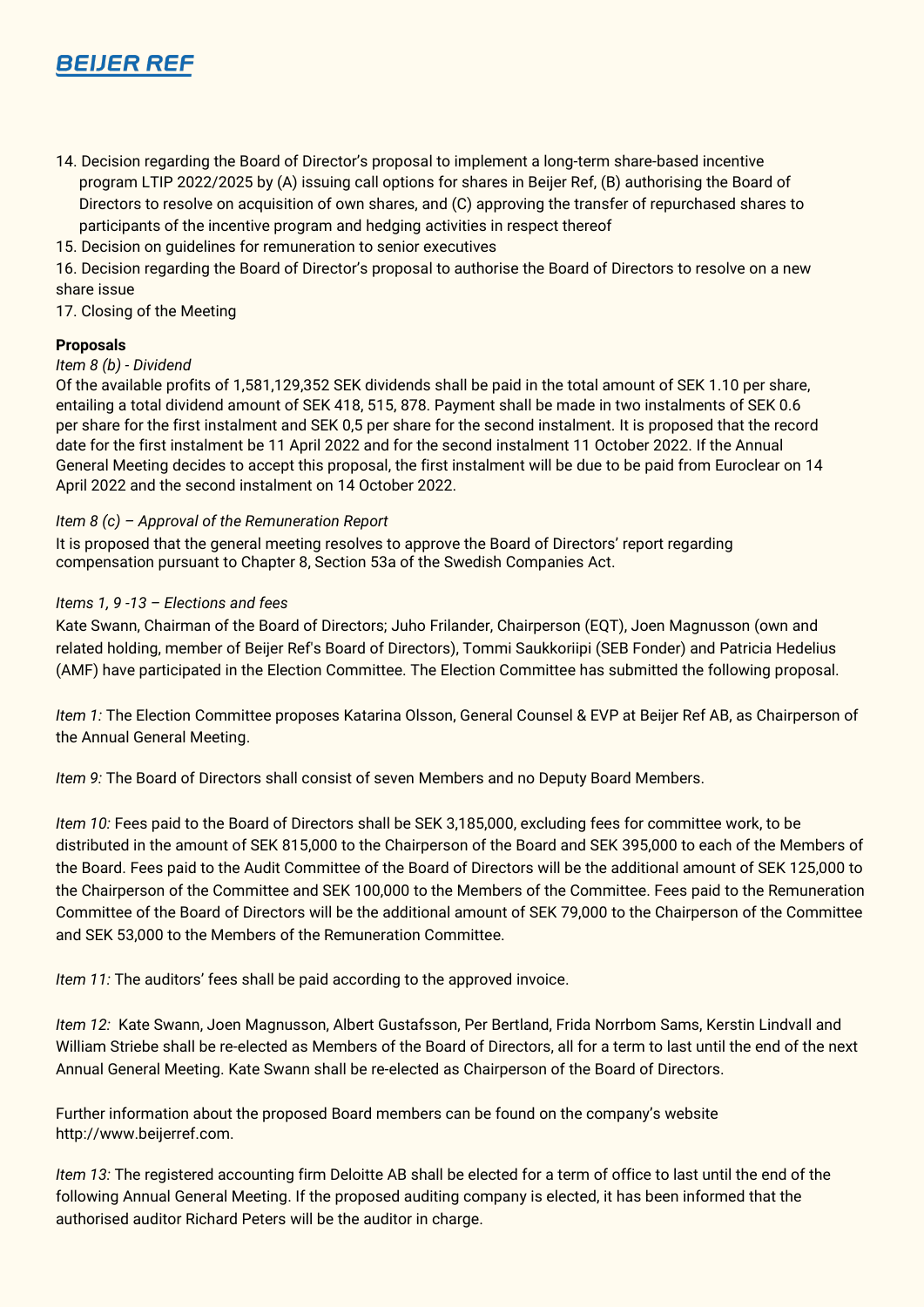

- 14. Decision regarding the Board of Director's proposal to implement a long-term share-based incentive program LTIP 2022/2025 by (A) issuing call options for shares in Beijer Ref, (B) authorising the Board of Directors to resolve on acquisition of own shares, and (C) approving the transfer of repurchased shares to participants of the incentive program and hedging activities in respect thereof
- 15. Decision on guidelines for remuneration to senior executives

16. Decision regarding the Board of Director's proposal to authorise the Board of Directors to resolve on a new share issue

17. Closing of the Meeting

## **Proposals**

#### *Item 8 (b) - Dividend*

Of the available profits of 1,581,129,352 SEK dividends shall be paid in the total amount of SEK 1.10 per share, entailing a total dividend amount of SEK 418, 515, 878. Payment shall be made in two instalments of SEK 0.6 per share for the first instalment and SEK 0,5 per share for the second instalment. It is proposed that the record date for the first instalment be 11 April 2022 and for the second instalment 11 October 2022. If the Annual General Meeting decides to accept this proposal, the first instalment will be due to be paid from Euroclear on 14 April 2022 and the second instalment on 14 October 2022.

## *Item 8 (c) – Approval of the Remuneration Report*

It is proposed that the general meeting resolves to approve the Board of Directors' report regarding compensation pursuant to Chapter 8, Section 53a of the Swedish Companies Act.

## *Items 1, 9 -13 – Elections and fees*

Kate Swann, Chairman of the Board of Directors; Juho Frilander, Chairperson (EQT), Joen Magnusson (own and related holding, member of Beijer Ref's Board of Directors), Tommi Saukkoriipi (SEB Fonder) and Patricia Hedelius (AMF) have participated in the Election Committee. The Election Committee has submitted the following proposal.

*Item 1:* The Election Committee proposes Katarina Olsson, General Counsel & EVP at Beijer Ref AB, as Chairperson of the Annual General Meeting.

*Item 9:* The Board of Directors shall consist of seven Members and no Deputy Board Members.

*Item 10:* Fees paid to the Board of Directors shall be SEK 3,185,000, excluding fees for committee work, to be distributed in the amount of SEK 815,000 to the Chairperson of the Board and SEK 395,000 to each of the Members of the Board. Fees paid to the Audit Committee of the Board of Directors will be the additional amount of SEK 125,000 to the Chairperson of the Committee and SEK 100,000 to the Members of the Committee. Fees paid to the Remuneration Committee of the Board of Directors will be the additional amount of SEK 79,000 to the Chairperson of the Committee and SEK 53,000 to the Members of the Remuneration Committee.

*Item 11:* The auditors' fees shall be paid according to the approved invoice.

*Item 12:* Kate Swann, Joen Magnusson, Albert Gustafsson, Per Bertland, Frida Norrbom Sams, Kerstin Lindvall and William Striebe shall be re-elected as Members of the Board of Directors, all for a term to last until the end of the next Annual General Meeting. Kate Swann shall be re-elected as Chairperson of the Board of Directors.

Further information about the proposed Board members can be found on the company's website [http://www.beijerref.com.](http://www.beijerref.com/)

*Item 13:* The registered accounting firm Deloitte AB shall be elected for a term of office to last until the end of the following Annual General Meeting. If the proposed auditing company is elected, it has been informed that the authorised auditor Richard Peters will be the auditor in charge.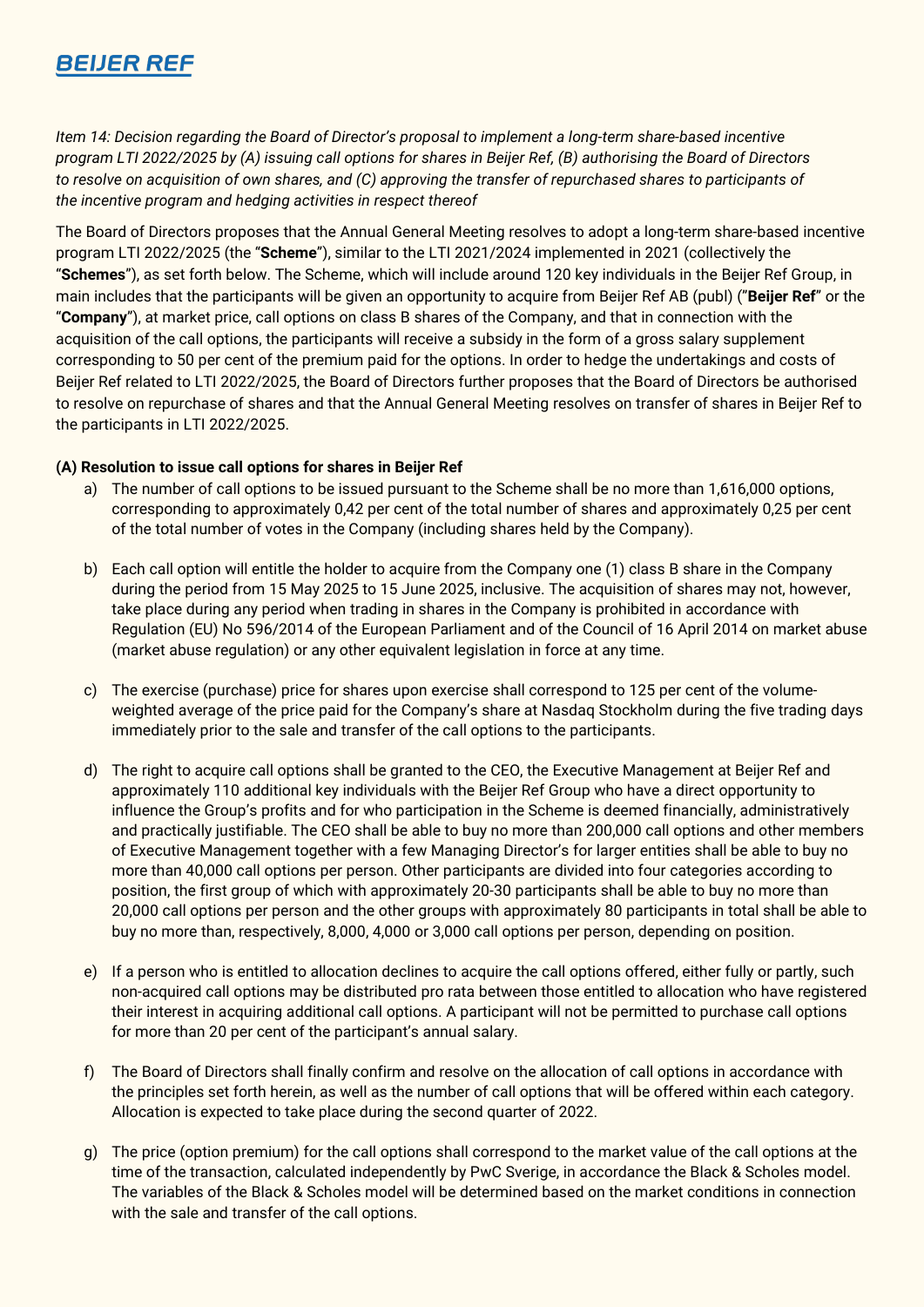*Item 14: Decision regarding the Board of Director's proposal to implement a long-term share-based incentive program LTI 2022/2025 by (A) issuing call options for shares in Beijer Ref, (B) authorising the Board of Directors to resolve on acquisition of own shares, and (C) approving the transfer of repurchased shares to participants of the incentive program and hedging activities in respect thereof*

The Board of Directors proposes that the Annual General Meeting resolves to adopt a long-term share-based incentive program LTI 2022/2025 (the "**Scheme**"), similar to the LTI 2021/2024 implemented in 2021 (collectively the "**Schemes**"), as set forth below. The Scheme, which will include around 120 key individuals in the Beijer Ref Group, in main includes that the participants will be given an opportunity to acquire from Beijer Ref AB (publ) ("**Beijer Ref**" or the "**Company**"), at market price, call options on class B shares of the Company, and that in connection with the acquisition of the call options, the participants will receive a subsidy in the form of a gross salary supplement corresponding to 50 per cent of the premium paid for the options. In order to hedge the undertakings and costs of Beijer Ref related to LTI 2022/2025, the Board of Directors further proposes that the Board of Directors be authorised to resolve on repurchase of shares and that the Annual General Meeting resolves on transfer of shares in Beijer Ref to the participants in LTI 2022/2025.

## **(A) Resolution to issue call options for shares in Beijer Ref**

- a) The number of call options to be issued pursuant to the Scheme shall be no more than 1,616,000 options, corresponding to approximately 0,42 per cent of the total number of shares and approximately 0,25 per cent of the total number of votes in the Company (including shares held by the Company).
- b) Each call option will entitle the holder to acquire from the Company one (1) class B share in the Company during the period from 15 May 2025 to 15 June 2025, inclusive. The acquisition of shares may not, however, take place during any period when trading in shares in the Company is prohibited in accordance with Regulation (EU) No 596/2014 of the European Parliament and of the Council of 16 April 2014 on market abuse (market abuse regulation) or any other equivalent legislation in force at any time.
- c) The exercise (purchase) price for shares upon exercise shall correspond to 125 per cent of the volumeweighted average of the price paid for the Company's share at Nasdaq Stockholm during the five trading days immediately prior to the sale and transfer of the call options to the participants.
- d) The right to acquire call options shall be granted to the CEO, the Executive Management at Beijer Ref and approximately 110 additional key individuals with the Beijer Ref Group who have a direct opportunity to influence the Group's profits and for who participation in the Scheme is deemed financially, administratively and practically justifiable. The CEO shall be able to buy no more than 200,000 call options and other members of Executive Management together with a few Managing Director's for larger entities shall be able to buy no more than 40,000 call options per person. Other participants are divided into four categories according to position, the first group of which with approximately 20-30 participants shall be able to buy no more than 20,000 call options per person and the other groups with approximately 80 participants in total shall be able to buy no more than, respectively, 8,000, 4,000 or 3,000 call options per person, depending on position.
- e) If a person who is entitled to allocation declines to acquire the call options offered, either fully or partly, such non-acquired call options may be distributed pro rata between those entitled to allocation who have registered their interest in acquiring additional call options. A participant will not be permitted to purchase call options for more than 20 per cent of the participant's annual salary.
- f) The Board of Directors shall finally confirm and resolve on the allocation of call options in accordance with the principles set forth herein, as well as the number of call options that will be offered within each category. Allocation is expected to take place during the second quarter of 2022.
- g) The price (option premium) for the call options shall correspond to the market value of the call options at the time of the transaction, calculated independently by PwC Sverige, in accordance the Black & Scholes model. The variables of the Black & Scholes model will be determined based on the market conditions in connection with the sale and transfer of the call options.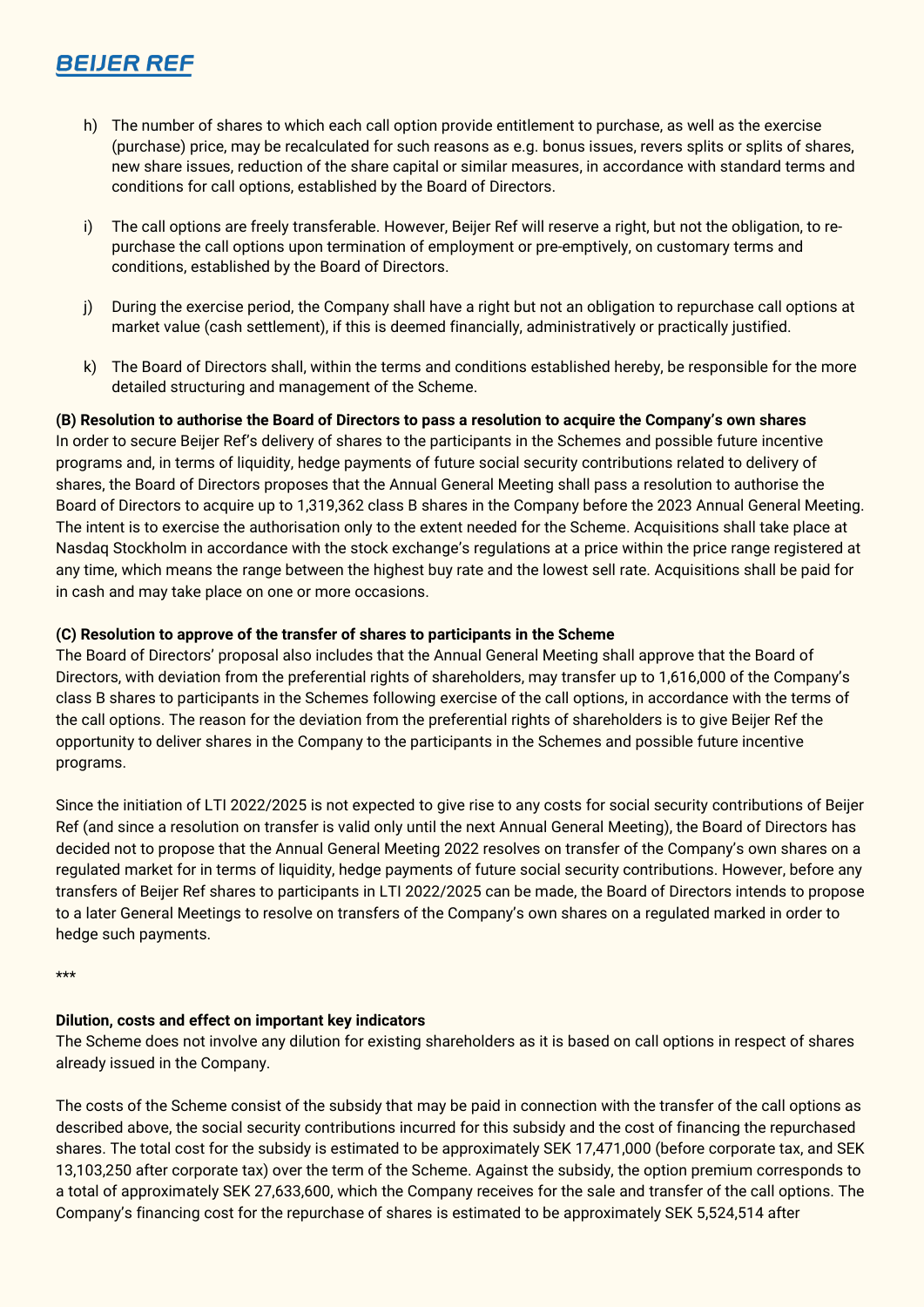- h) The number of shares to which each call option provide entitlement to purchase, as well as the exercise (purchase) price, may be recalculated for such reasons as e.g. bonus issues, revers splits or splits of shares, new share issues, reduction of the share capital or similar measures, in accordance with standard terms and conditions for call options, established by the Board of Directors.
- i) The call options are freely transferable. However, Beijer Ref will reserve a right, but not the obligation, to repurchase the call options upon termination of employment or pre-emptively, on customary terms and conditions, established by the Board of Directors.
- j) During the exercise period, the Company shall have a right but not an obligation to repurchase call options at market value (cash settlement), if this is deemed financially, administratively or practically justified.
- k) The Board of Directors shall, within the terms and conditions established hereby, be responsible for the more detailed structuring and management of the Scheme.

## **(B) Resolution to authorise the Board of Directors to pass a resolution to acquire the Company's own shares**

In order to secure Beijer Ref's delivery of shares to the participants in the Schemes and possible future incentive programs and, in terms of liquidity, hedge payments of future social security contributions related to delivery of shares, the Board of Directors proposes that the Annual General Meeting shall pass a resolution to authorise the Board of Directors to acquire up to 1,319,362 class B shares in the Company before the 2023 Annual General Meeting. The intent is to exercise the authorisation only to the extent needed for the Scheme. Acquisitions shall take place at Nasdaq Stockholm in accordance with the stock exchange's regulations at a price within the price range registered at any time, which means the range between the highest buy rate and the lowest sell rate. Acquisitions shall be paid for in cash and may take place on one or more occasions.

## **(C) Resolution to approve of the transfer of shares to participants in the Scheme**

The Board of Directors' proposal also includes that the Annual General Meeting shall approve that the Board of Directors, with deviation from the preferential rights of shareholders, may transfer up to 1,616,000 of the Company's class B shares to participants in the Schemes following exercise of the call options, in accordance with the terms of the call options. The reason for the deviation from the preferential rights of shareholders is to give Beijer Ref the opportunity to deliver shares in the Company to the participants in the Schemes and possible future incentive programs.

Since the initiation of LTI 2022/2025 is not expected to give rise to any costs for social security contributions of Beijer Ref (and since a resolution on transfer is valid only until the next Annual General Meeting), the Board of Directors has decided not to propose that the Annual General Meeting 2022 resolves on transfer of the Company's own shares on a regulated market for in terms of liquidity, hedge payments of future social security contributions. However, before any transfers of Beijer Ref shares to participants in LTI 2022/2025 can be made, the Board of Directors intends to propose to a later General Meetings to resolve on transfers of the Company's own shares on a regulated marked in order to hedge such payments.

\*\*\*

#### **Dilution, costs and effect on important key indicators**

The Scheme does not involve any dilution for existing shareholders as it is based on call options in respect of shares already issued in the Company.

The costs of the Scheme consist of the subsidy that may be paid in connection with the transfer of the call options as described above, the social security contributions incurred for this subsidy and the cost of financing the repurchased shares. The total cost for the subsidy is estimated to be approximately SEK 17,471,000 (before corporate tax, and SEK 13,103,250 after corporate tax) over the term of the Scheme. Against the subsidy, the option premium corresponds to a total of approximately SEK 27,633,600, which the Company receives for the sale and transfer of the call options. The Company's financing cost for the repurchase of shares is estimated to be approximately SEK 5,524,514 after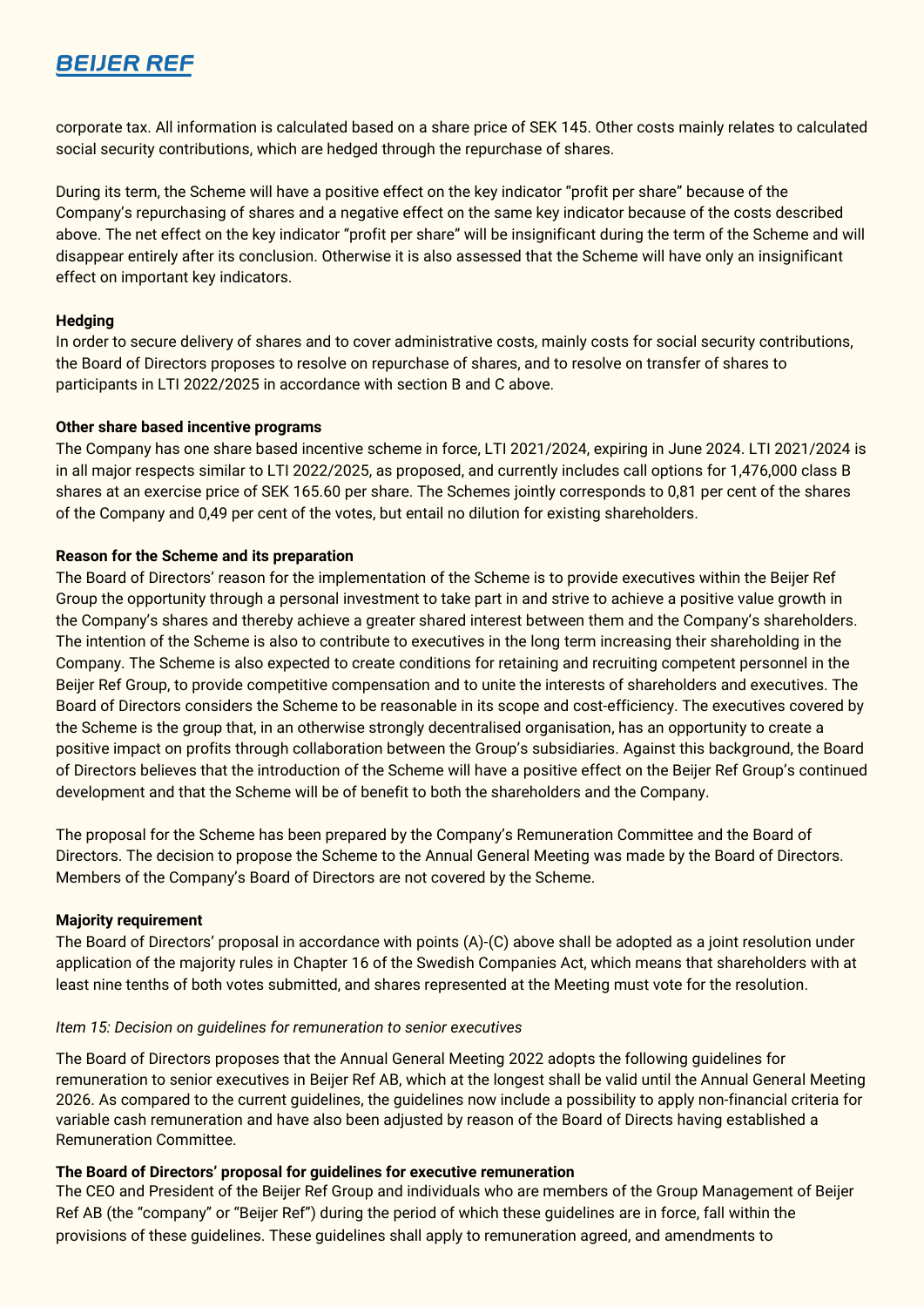corporate tax. All information is calculated based on a share price of SEK 145. Other costs mainly relates to calculated social security contributions, which are hedged through the repurchase of shares.

During its term, the Scheme will have a positive effect on the key indicator "profit per share" because of the Company's repurchasing of shares and a negative effect on the same key indicator because of the costs described above. The net effect on the key indicator "profit per share" will be insignificant during the term of the Scheme and will disappear entirely after its conclusion. Otherwise it is also assessed that the Scheme will have only an insignificant effect on important key indicators.

## **Hedging**

In order to secure delivery of shares and to cover administrative costs, mainly costs for social security contributions, the Board of Directors proposes to resolve on repurchase of shares, and to resolve on transfer of shares to participants in LTI 2022/2025 in accordance with section B and C above.

## **Other share based incentive programs**

The Company has one share based incentive scheme in force, LTI 2021/2024, expiring in June 2024. LTI 2021/2024 is in all major respects similar to LTI 2022/2025, as proposed, and currently includes call options for 1,476,000 class B shares at an exercise price of SEK 165.60 per share. The Schemes jointly corresponds to 0,81 per cent of the shares of the Company and 0,49 per cent of the votes, but entail no dilution for existing shareholders.

## **Reason for the Scheme and its preparation**

The Board of Directors' reason for the implementation of the Scheme is to provide executives within the Beijer Ref Group the opportunity through a personal investment to take part in and strive to achieve a positive value growth in the Company's shares and thereby achieve a greater shared interest between them and the Company's shareholders. The intention of the Scheme is also to contribute to executives in the long term increasing their shareholding in the Company. The Scheme is also expected to create conditions for retaining and recruiting competent personnel in the Beijer Ref Group, to provide competitive compensation and to unite the interests of shareholders and executives. The Board of Directors considers the Scheme to be reasonable in its scope and cost-efficiency. The executives covered by the Scheme is the group that, in an otherwise strongly decentralised organisation, has an opportunity to create a positive impact on profits through collaboration between the Group's subsidiaries. Against this background, the Board of Directors believes that the introduction of the Scheme will have a positive effect on the Beijer Ref Group's continued development and that the Scheme will be of benefit to both the shareholders and the Company.

The proposal for the Scheme has been prepared by the Company's Remuneration Committee and the Board of Directors. The decision to propose the Scheme to the Annual General Meeting was made by the Board of Directors. Members of the Company's Board of Directors are not covered by the Scheme.

#### **Majority requirement**

The Board of Directors' proposal in accordance with points (A)-(C) above shall be adopted as a joint resolution under application of the majority rules in Chapter 16 of the Swedish Companies Act, which means that shareholders with at least nine tenths of both votes submitted, and shares represented at the Meeting must vote for the resolution.

#### *Item 15: Decision on guidelines for remuneration to senior executives*

The Board of Directors proposes that the Annual General Meeting 2022 adopts the following guidelines for remuneration to senior executives in Beijer Ref AB, which at the longest shall be valid until the Annual General Meeting 2026. As compared to the current guidelines, the guidelines now include a possibility to apply non-financial criteria for variable cash remuneration and have also been adjusted by reason of the Board of Directs having established a Remuneration Committee.

#### **The Board of Directors' proposal for guidelines for executive remuneration**

The CEO and President of the Beijer Ref Group and individuals who are members of the Group Management of Beijer Ref AB (the "company" or "Beijer Ref") during the period of which these guidelines are in force, fall within the provisions of these guidelines. These guidelines shall apply to remuneration agreed, and amendments to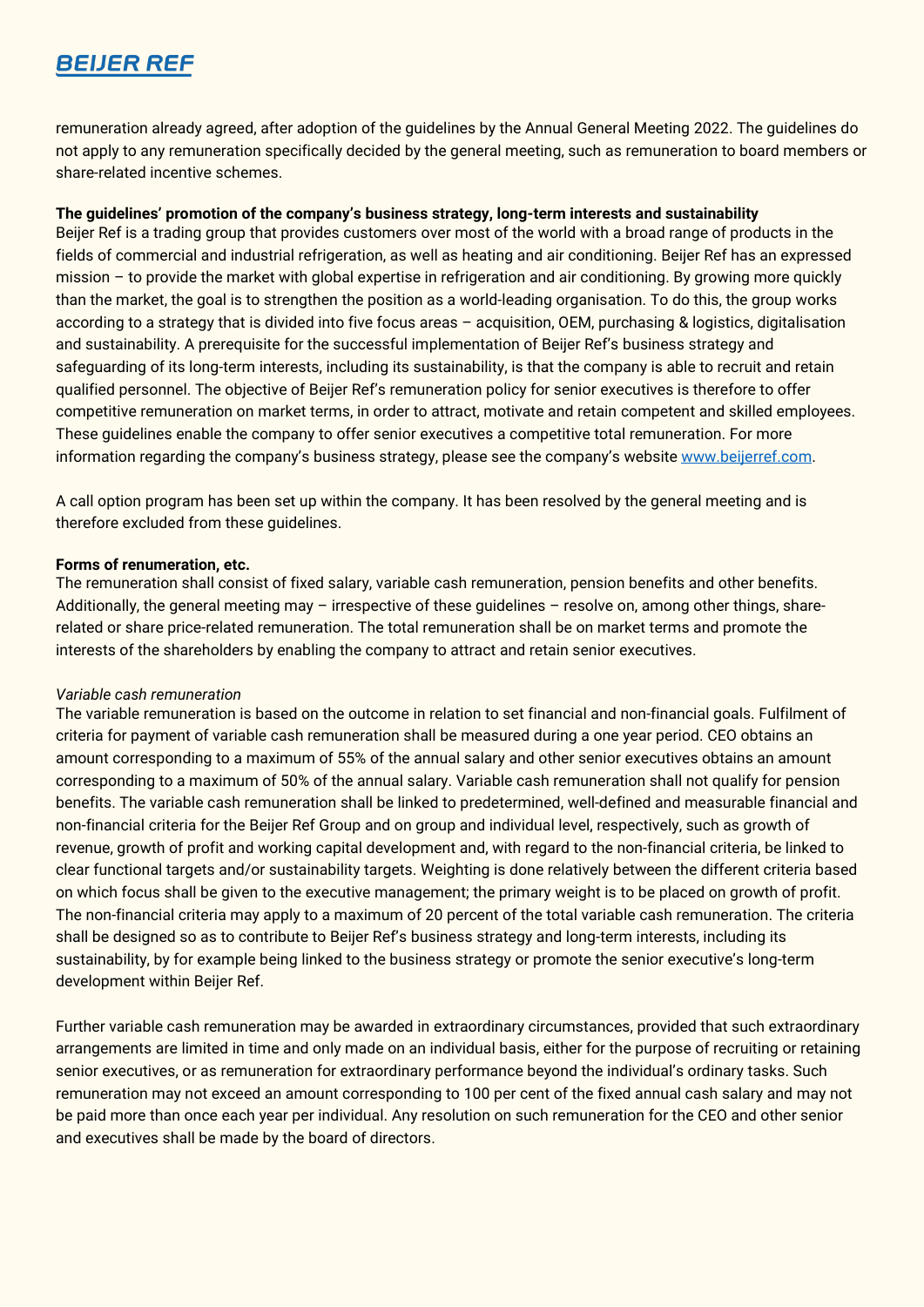remuneration already agreed, after adoption of the guidelines by the Annual General Meeting 2022. The guidelines do not apply to any remuneration specifically decided by the general meeting, such as remuneration to board members or share-related incentive schemes.

#### **The guidelines' promotion of the company's business strategy, long-term interests and sustainability**

Beijer Ref is a trading group that provides customers over most of the world with a broad range of products in the fields of commercial and industrial refrigeration, as well as heating and air conditioning. Beijer Ref has an expressed mission – to provide the market with global expertise in refrigeration and air conditioning. By growing more quickly than the market, the goal is to strengthen the position as a world-leading organisation. To do this, the group works according to a strategy that is divided into five focus areas – acquisition, OEM, purchasing & logistics, digitalisation and sustainability. A prerequisite for the successful implementation of Beijer Ref's business strategy and safeguarding of its long-term interests, including its sustainability, is that the company is able to recruit and retain qualified personnel. The objective of Beijer Ref's remuneration policy for senior executives is therefore to offer competitive remuneration on market terms, in order to attract, motivate and retain competent and skilled employees. These guidelines enable the company to offer senior executives a competitive total remuneration. For more information regarding the company's business strategy, please see the company's website [www.beijerref.com.](http://www.beijerref.com/)

A call option program has been set up within the company. It has been resolved by the general meeting and is therefore excluded from these guidelines.

#### **Forms of renumeration, etc.**

The remuneration shall consist of fixed salary, variable cash remuneration, pension benefits and other benefits. Additionally, the general meeting may – irrespective of these guidelines – resolve on, among other things, sharerelated or share price-related remuneration. The total remuneration shall be on market terms and promote the interests of the shareholders by enabling the company to attract and retain senior executives.

#### *Variable cash remuneration*

The variable remuneration is based on the outcome in relation to set financial and non-financial goals. Fulfilment of criteria for payment of variable cash remuneration shall be measured during a one year period. CEO obtains an amount corresponding to a maximum of 55% of the annual salary and other senior executives obtains an amount corresponding to a maximum of 50% of the annual salary. Variable cash remuneration shall not qualify for pension benefits. The variable cash remuneration shall be linked to predetermined, well-defined and measurable financial and non-financial criteria for the Beijer Ref Group and on group and individual level, respectively, such as growth of revenue, growth of profit and working capital development and, with regard to the non-financial criteria, be linked to clear functional targets and/or sustainability targets. Weighting is done relatively between the different criteria based on which focus shall be given to the executive management; the primary weight is to be placed on growth of profit. The non-financial criteria may apply to a maximum of 20 percent of the total variable cash remuneration. The criteria shall be designed so as to contribute to Beijer Ref's business strategy and long-term interests, including its sustainability, by for example being linked to the business strategy or promote the senior executive's long-term development within Beijer Ref.

Further variable cash remuneration may be awarded in extraordinary circumstances, provided that such extraordinary arrangements are limited in time and only made on an individual basis, either for the purpose of recruiting or retaining senior executives, or as remuneration for extraordinary performance beyond the individual's ordinary tasks. Such remuneration may not exceed an amount corresponding to 100 per cent of the fixed annual cash salary and may not be paid more than once each year per individual. Any resolution on such remuneration for the CEO and other senior and executives shall be made by the board of directors.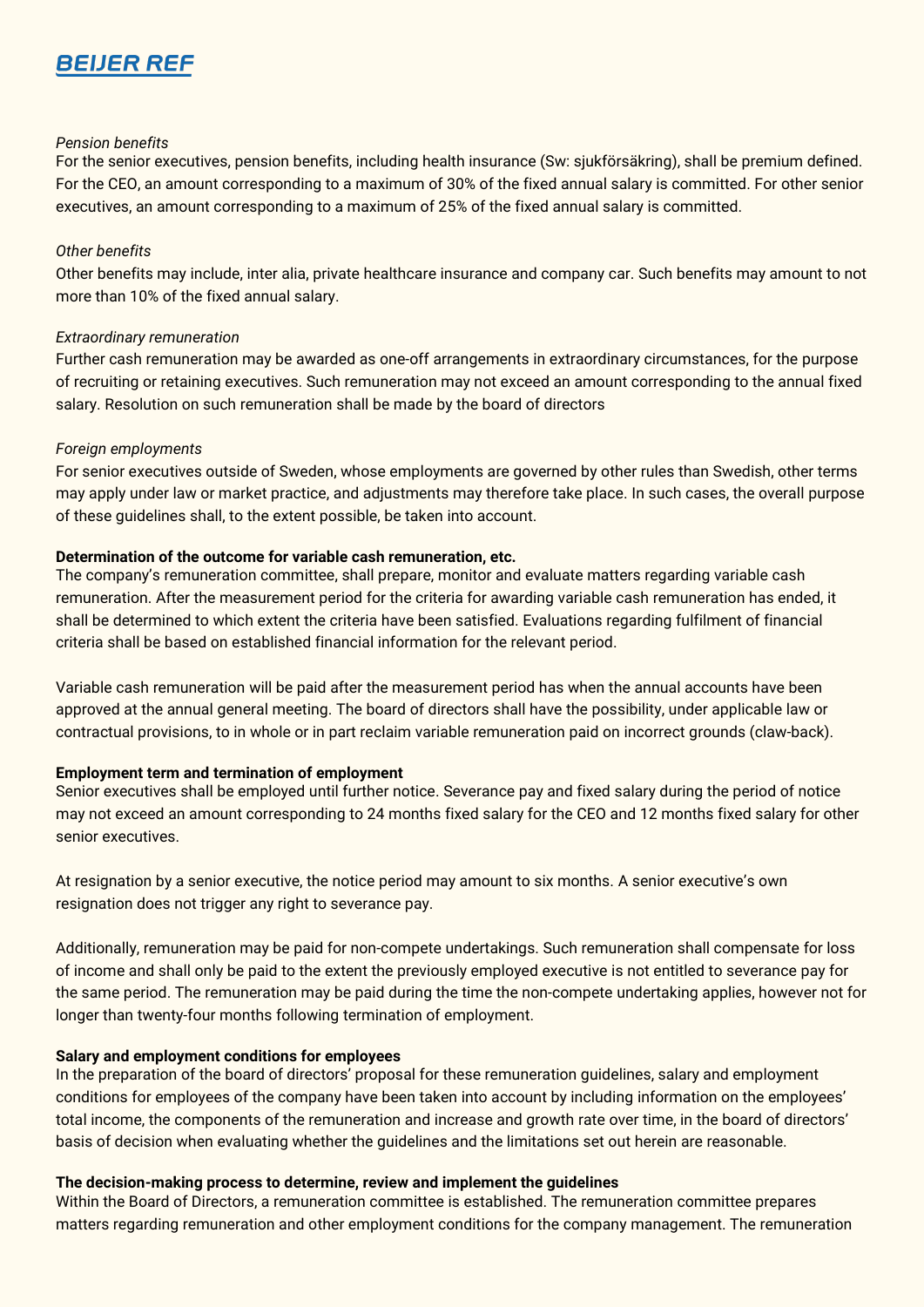#### *Pension benefits*

For the senior executives, pension benefits, including health insurance (Sw: sjukförsäkring), shall be premium defined. For the CEO, an amount corresponding to a maximum of 30% of the fixed annual salary is committed. For other senior executives, an amount corresponding to a maximum of 25% of the fixed annual salary is committed.

#### *Other benefits*

Other benefits may include, inter alia, private healthcare insurance and company car. Such benefits may amount to not more than 10% of the fixed annual salary.

#### *Extraordinary remuneration*

Further cash remuneration may be awarded as one-off arrangements in extraordinary circumstances, for the purpose of recruiting or retaining executives. Such remuneration may not exceed an amount corresponding to the annual fixed salary. Resolution on such remuneration shall be made by the board of directors

#### *Foreign employments*

For senior executives outside of Sweden, whose employments are governed by other rules than Swedish, other terms may apply under law or market practice, and adjustments may therefore take place. In such cases, the overall purpose of these guidelines shall, to the extent possible, be taken into account.

#### **Determination of the outcome for variable cash remuneration, etc.**

The company's remuneration committee, shall prepare, monitor and evaluate matters regarding variable cash remuneration. After the measurement period for the criteria for awarding variable cash remuneration has ended, it shall be determined to which extent the criteria have been satisfied. Evaluations regarding fulfilment of financial criteria shall be based on established financial information for the relevant period.

Variable cash remuneration will be paid after the measurement period has when the annual accounts have been approved at the annual general meeting. The board of directors shall have the possibility, under applicable law or contractual provisions, to in whole or in part reclaim variable remuneration paid on incorrect grounds (claw-back).

#### **Employment term and termination of employment**

Senior executives shall be employed until further notice. Severance pay and fixed salary during the period of notice may not exceed an amount corresponding to 24 months fixed salary for the CEO and 12 months fixed salary for other senior executives.

At resignation by a senior executive, the notice period may amount to six months. A senior executive's own resignation does not trigger any right to severance pay.

Additionally, remuneration may be paid for non-compete undertakings. Such remuneration shall compensate for loss of income and shall only be paid to the extent the previously employed executive is not entitled to severance pay for the same period. The remuneration may be paid during the time the non-compete undertaking applies, however not for longer than twenty-four months following termination of employment.

#### **Salary and employment conditions for employees**

In the preparation of the board of directors' proposal for these remuneration guidelines, salary and employment conditions for employees of the company have been taken into account by including information on the employees' total income, the components of the remuneration and increase and growth rate over time, in the board of directors' basis of decision when evaluating whether the guidelines and the limitations set out herein are reasonable.

#### **The decision-making process to determine, review and implement the guidelines**

Within the Board of Directors, a remuneration committee is established. The remuneration committee prepares matters regarding remuneration and other employment conditions for the company management. The remuneration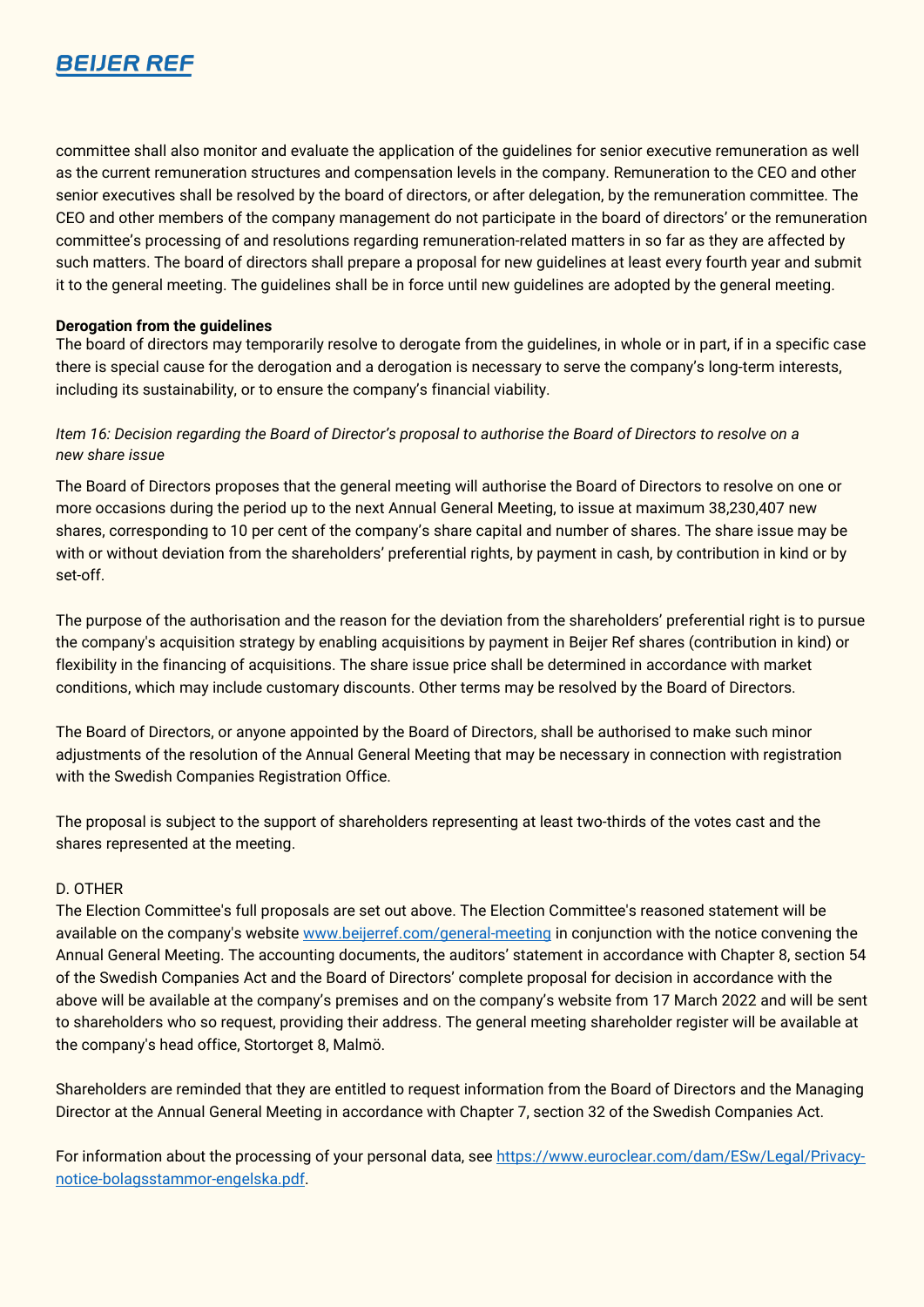

committee shall also monitor and evaluate the application of the guidelines for senior executive remuneration as well as the current remuneration structures and compensation levels in the company. Remuneration to the CEO and other senior executives shall be resolved by the board of directors, or after delegation, by the remuneration committee. The CEO and other members of the company management do not participate in the board of directors' or the remuneration committee's processing of and resolutions regarding remuneration-related matters in so far as they are affected by such matters. The board of directors shall prepare a proposal for new guidelines at least every fourth year and submit it to the general meeting. The guidelines shall be in force until new guidelines are adopted by the general meeting.

#### **Derogation from the guidelines**

The board of directors may temporarily resolve to derogate from the guidelines, in whole or in part, if in a specific case there is special cause for the derogation and a derogation is necessary to serve the company's long-term interests, including its sustainability, or to ensure the company's financial viability.

## *Item 16: Decision regarding the Board of Director's proposal to authorise the Board of Directors to resolve on a new share issue*

The Board of Directors proposes that the general meeting will authorise the Board of Directors to resolve on one or more occasions during the period up to the next Annual General Meeting, to issue at maximum 38,230,407 new shares, corresponding to 10 per cent of the company's share capital and number of shares. The share issue may be with or without deviation from the shareholders' preferential rights, by payment in cash, by contribution in kind or by set-off.

The purpose of the authorisation and the reason for the deviation from the shareholders' preferential right is to pursue the company's acquisition strategy by enabling acquisitions by payment in Beijer Ref shares (contribution in kind) or flexibility in the financing of acquisitions. The share issue price shall be determined in accordance with market conditions, which may include customary discounts. Other terms may be resolved by the Board of Directors.

The Board of Directors, or anyone appointed by the Board of Directors, shall be authorised to make such minor adjustments of the resolution of the Annual General Meeting that may be necessary in connection with registration with the Swedish Companies Registration Office.

The proposal is subject to the support of shareholders representing at least two-thirds of the votes cast and the shares represented at the meeting.

#### D. OTHER

The Election Committee's full proposals are set out above. The Election Committee's reasoned statement will be available on the company's website [www.beijerref.com/general-meeting](http://www.beijerref.com/general-meeting) in conjunction with the notice convening the Annual General Meeting. The accounting documents, the auditors' statement in accordance with Chapter 8, section 54 of the Swedish Companies Act and the Board of Directors' complete proposal for decision in accordance with the above will be available at the company's premises and on the company's website from 17 March 2022 and will be sent to shareholders who so request, providing their address. The general meeting shareholder register will be available at the company's head office, Stortorget 8, Malmö.

Shareholders are reminded that they are entitled to request information from the Board of Directors and the Managing Director at the Annual General Meeting in accordance with Chapter 7, section 32 of the Swedish Companies Act.

For information about the processing of your personal data, see [https://www.euroclear.com/dam/ESw/Legal/Privacy](https://www.euroclear.com/dam/ESw/Legal/Privacy-notice-bolagsstammor-engelska.pdf)[notice-bolagsstammor-engelska.pdf.](https://www.euroclear.com/dam/ESw/Legal/Privacy-notice-bolagsstammor-engelska.pdf)